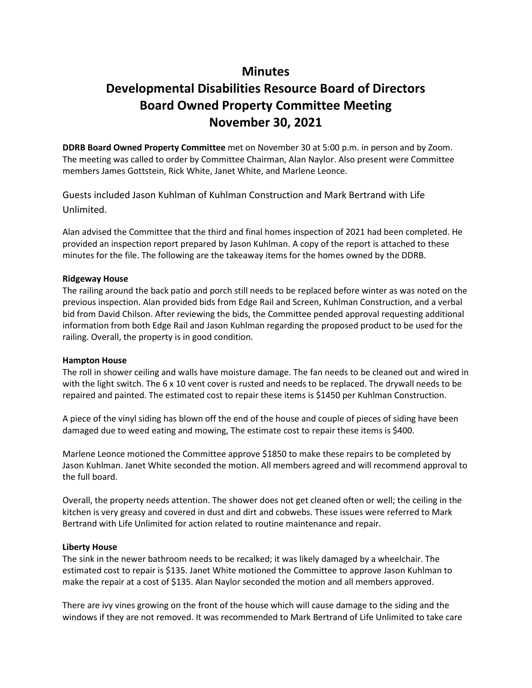# **Minutes**

# **Developmental Disabilities Resource Board of Directors Board Owned Property Committee Meeting November 30, 2021**

**DDRB Board Owned Property Committee** met on November 30 at 5:00 p.m. in person and by Zoom. The meeting was called to order by Committee Chairman, Alan Naylor. Also present were Committee members James Gottstein, Rick White, Janet White, and Marlene Leonce.

Guests included Jason Kuhlman of Kuhlman Construction and Mark Bertrand with Life Unlimited.

Alan advised the Committee that the third and final homes inspection of 2021 had been completed. He provided an inspection report prepared by Jason Kuhlman. A copy of the report is attached to these minutes for the file. The following are the takeaway items for the homes owned by the DDRB.

## **Ridgeway House**

The railing around the back patio and porch still needs to be replaced before winter as was noted on the previous inspection. Alan provided bids from Edge Rail and Screen, Kuhlman Construction, and a verbal bid from David Chilson. After reviewing the bids, the Committee pended approval requesting additional information from both Edge Rail and Jason Kuhlman regarding the proposed product to be used for the railing. Overall, the property is in good condition.

#### **Hampton House**

The roll in shower ceiling and walls have moisture damage. The fan needs to be cleaned out and wired in with the light switch. The 6 x 10 vent cover is rusted and needs to be replaced. The drywall needs to be repaired and painted. The estimated cost to repair these items is \$1450 per Kuhlman Construction.

A piece of the vinyl siding has blown off the end of the house and couple of pieces of siding have been damaged due to weed eating and mowing, The estimate cost to repair these items is \$400.

Marlene Leonce motioned the Committee approve \$1850 to make these repairs to be completed by Jason Kuhlman. Janet White seconded the motion. All members agreed and will recommend approval to the full board.

Overall, the property needs attention. The shower does not get cleaned often or well; the ceiling in the kitchen is very greasy and covered in dust and dirt and cobwebs. These issues were referred to Mark Bertrand with Life Unlimited for action related to routine maintenance and repair.

#### **Liberty House**

The sink in the newer bathroom needs to be recalked; it was likely damaged by a wheelchair. The estimated cost to repair is \$135. Janet White motioned the Committee to approve Jason Kuhlman to make the repair at a cost of \$135. Alan Naylor seconded the motion and all members approved.

There are ivy vines growing on the front of the house which will cause damage to the siding and the windows if they are not removed. It was recommended to Mark Bertrand of Life Unlimited to take care